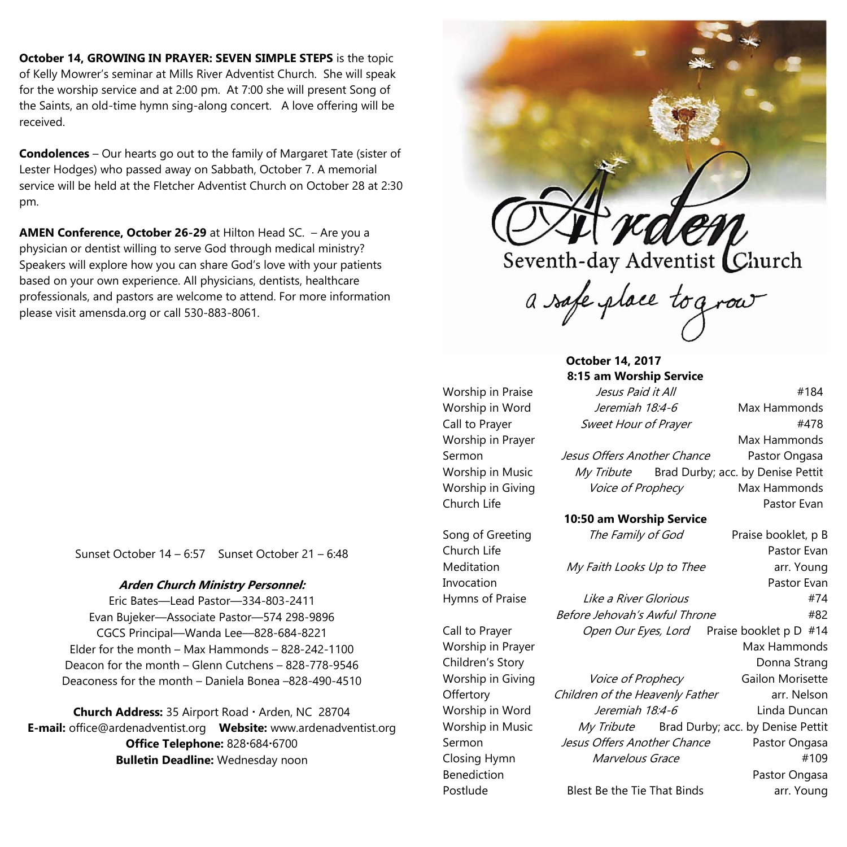**October 14, GROWING IN PRAYER: SEVEN SIMPLE STEPS** is the topic of Kelly Mowrer's seminar at Mills River Adventist Church. She will speak for the worship service and at 2:00 pm. At 7:00 she will present Song of the Saints, an old-time hymn sing-along concert. A love offering will be received.

**Condolences** – Our hearts go out to the family of Margaret Tate (sister of Lester Hodges) who passed away on Sabbath, October 7. A memorial service will be held at the Fletcher Adventist Church on October 28 at 2:30 pm.

**AMEN Conference, October 26-29** at Hilton Head SC. – Are you a physician or dentist willing to serve God through medical ministry? Speakers will explore how you can share God's love with your patients based on your own experience. All physicians, dentists, healthcare professionals, and pastors are welcome to attend. For more information please visit amensda.org or call 530-883-8061.

Sunset October 14 – 6:57 Sunset October 21 – 6:48

## **Arden Church Ministry Personnel:**

Eric Bates—Lead Pastor—334-803-2411 Evan Bujeker––Associate Pastor––574 298-9896 CGCS Principal––Wanda Lee––828-684-8221 Elder for the month – Max Hammonds – 828-242-1100 Deacon for the month – Glenn Cutchens – 828-778-9546 Deaconess for the month – Daniela Bonea –828-490-4510

Church Address: 35 Airport Road · Arden, NC 28704 **E-mail:** office@ardenadventist.org **Website:** www.ardenadventist.org **Office Telephone:** 828-684-6700 **Bulletin Deadline:** Wednesday noon



a safe place tograv

## **October 14, 2017 8:15 am Worship Service**

Worship in Praise *Jesus Paid it All* #184 Worship in Word *Jeremiah 18:4-6* Max Hammonds Call to Prayer Sweet Hour of Prayer #478 Worship in Prayer **Max Hammonds** Max Hammonds Sermon *Jesus Offers Another Chance* Pastor Ongasa Worship in Music My Tribute Brad Durby; acc. by Denise Pettit Worship in Giving Voice of Prophecy Max Hammonds Church Life **Pastor Evan 10:50 am Worship Service** Song of Greeting The Family of God Praise booklet, p B Church Life Pastor Evan Meditation *My Faith Looks Up to Thee* arr. Young Invocation Pastor Evan Hymns of Praise **Like a River Glorious** #74 Before Jehovah's Awful Throne **#82** Call to Prayer *Open Our Eyes, Lord* Praise booklet p D #14 Worship in Prayer **Max Hammonds** Max Hammonds Children's Story **Donna** Strang Worship in Giving Voice of Prophecy Gailon Morisette Offertory Children of the Heavenly Father arr. Nelson Worship in Word *Jeremiah 18:4-6* Linda Duncan Worship in Music My Tribute Brad Durby; acc. by Denise Pettit Sermon *Jesus Offers Another Chance* Pastor Ongasa Closing Hymn Marvelous Grace #109 Benediction **Pastor Ongasa** Postlude Blest Be the Tie That Binds arr. Young